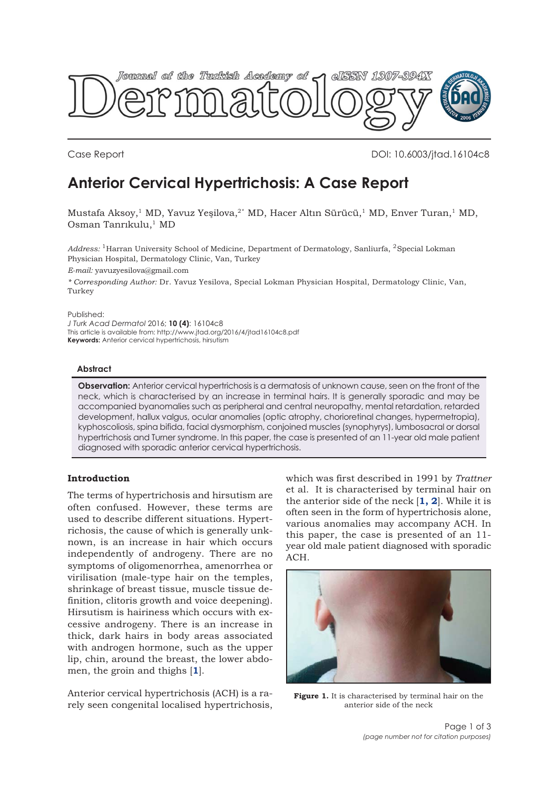<span id="page-0-0"></span>

Case Report DOI: 10.6003/jtad.16104c8

# **Anterior Cervical Hypertrichosis: A Case Report**

Mustafa Aksoy,<sup>1</sup> MD, Yavuz Yeşilova,<sup>2\*</sup> MD, Hacer Altın Sürücü,<sup>1</sup> MD, Enver Turan,<sup>1</sup> MD, Osman Tanrıkulu,<sup>1</sup> MD

*Address:* 1Harran University School of Medicine, Department of Dermatology, Sanliurfa, 2Special Lokman Physician Hospital, Dermatology Clinic, Van, Turkey

*E-mail:* yavuzyesilova@gmail.com

*\* Corresponding Author:* Dr. Yavuz Yesilova, Special Lokman Physician Hospital, Dermatology Clinic, Van, Turkey

#### Published:

*J Turk Acad Dermatol* 2016; **10 (4)**: 16104c8 This article is available from: http://www.jtad.org/2016/4/jtad16104c8.pdf **Keywords:** Anterior cervical hypertrichosis, hirsutism

### **Abstract**

**Observation:** Anterior cervical hypertrichosis is a dermatosis of unknown cause, seen on the front of the neck, which is characterised by an increase in terminal hairs. It is generally sporadic and may be accompanied byanomalies such as peripheral and central neuropathy, mental retardation, retarded development, hallux valgus, ocular anomalies (optic atrophy, chorioretinal changes, hypermetropia), kyphoscoliosis, spina bifida, facial dysmorphism, conjoined muscles (synophyrys), lumbosacral or dorsal hypertrichosis and Turner syndrome. In this paper, the case is presented of an 11-year old male patient diagnosed with sporadic anterior cervical hypertrichosis.

# **Introduction**

The terms of hypertrichosis and hirsutism are often confused. However, these terms are used to describe different situations. Hypertrichosis, the cause of which is generally unknown, is an increase in hair which occurs independently of androgeny. There are no symptoms of oligomenorrhea, amenorrhea or virilisation (male-type hair on the temples, shrinkage of breast tissue, muscle tissue definition, clitoris growth and voice deepening). Hirsutism is hairiness which occurs with excessive androgeny. There is an increase in thick, dark hairs in body areas associated with androgen hormone, such as the upper lip, chin, around the breast, the lower abdomen, the groin and thighs [**[1](#page-2-0)**].

Anterior cervical hypertrichosis (ACH) is a rarely seen congenital localised hypertrichosis,

which was first described in 1991 by *Trattner* et al. It is characterised by terminal hair on the anterior side of the neck [**[1,](#page-1-0) [2](#page-1-0)**]. While it is often seen in the form of hypertrichosis alone, various anomalies may accompany ACH. In this paper, the case is presented of an 11 year old male patient diagnosed with sporadic ACH.



**Figure 1.** It is characterised by terminal hair on the anterior side of the neck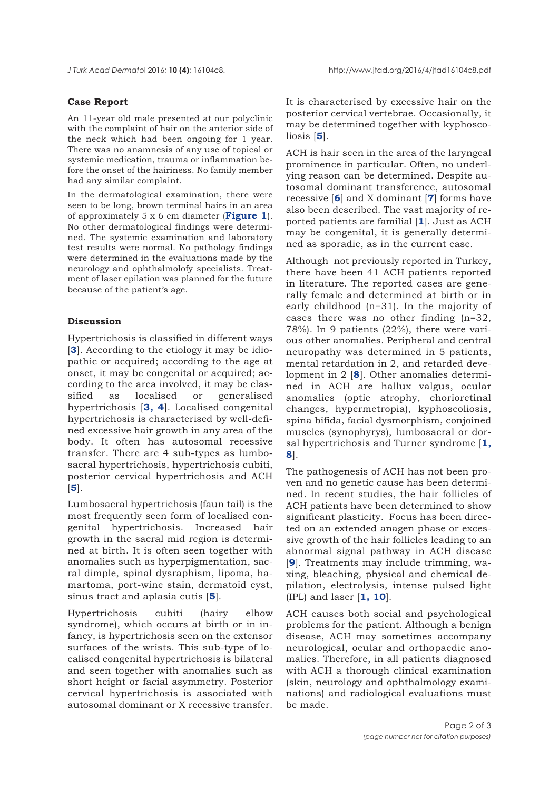<span id="page-1-0"></span>

## **Case Report**

An 11-year old male presented at our polyclinic with the complaint of hair on the anterior side of the neck which had been ongoing for 1 year. There was no anamnesis of any use of topical or systemic medication, trauma or inflammation before the onset of the hairiness. No family member had any similar complaint.

In the dermatological examination, there were seen to be long, brown terminal hairs in an area of approximately 5 x 6 cm diameter (**[Figure 1](#page-0-0)**). No other dermatological findings were determined. The systemic examination and laboratory test results were normal. No pathology findings were determined in the evaluations made by the neurology and ophthalmolofy specialists. Treatment of laser epilation was planned for the future because of the patient's age.

### **Discussion**

Hypertrichosis is classified in different ways [**[3](#page-2-0)**]. According to the etiology it may be idiopathic or acquired; according to the age at onset, it may be congenital or acquired; according to the area involved, it may be classified as localised or generalised hypertrichosis [**[3,](#page-2-0) [4](#page-2-0)**]. Localised congenital hypertrichosis is characterised by well-defined excessive hair growth in any area of the body. It often has autosomal recessive transfer. There are 4 sub-types as lumbosacral hypertrichosis, hypertrichosis cubiti, posterior cervical hypertrichosis and ACH [**[5](#page-2-0)**].

Lumbosacral hypertrichosis (faun tail) is the most frequently seen form of localised congenital hypertrichosis. Increased hair growth in the sacral mid region is determined at birth. It is often seen together with anomalies such as hyperpigmentation, sacral dimple, spinal dysraphism, lipoma, hamartoma, port-wine stain, dermatoid cyst, sinus tract and aplasia cutis [**[5](#page-2-0)**].

Hypertrichosis cubiti (hairy elbow syndrome), which occurs at birth or in infancy, is hypertrichosis seen on the extensor surfaces of the wrists. This sub-type of localised congenital hypertrichosis is bilateral and seen together with anomalies such as short height or facial asymmetry. Posterior cervical hypertrichosis is associated with autosomal dominant or X recessive transfer.

It is characterised by excessive hair on the posterior cervical vertebrae. Occasionally, it may be determined together with kyphoscoliosis [**[5](#page-2-0)**].

ACH is hair seen in the area of the laryngeal prominence in particular. Often, no underlying reason can be determined. Despite autosomal dominant transference, autosomal recessive [**[6](#page-2-0)**] and X dominant [**[7](#page-2-0)**] forms have also been described. The vast majority of reported patients are familial [**[1](#page-2-0)**]. Just as ACH may be congenital, it is generally determined as sporadic, as in the current case.

Although not previously reported in Turkey, there have been 41 ACH patients reported in literature. The reported cases are generally female and determined at birth or in early childhood (n=31). In the majority of cases there was no other finding (n=32, 78%). In 9 patients (22%), there were various other anomalies. Peripheral and central neuropathy was determined in 5 patients, mental retardation in 2, and retarded development in 2 [**[8](#page-2-0)**]. Other anomalies determined in ACH are hallux valgus, ocular anomalies (optic atrophy, chorioretinal changes, hypermetropia), kyphoscoliosis, spina bifida, facial dysmorphism, conjoined muscles (synophyrys), lumbosacral or dorsal hypertrichosis and Turner syndrome [**[1,](#page-2-0) [8](#page-2-0)**].

The pathogenesis of ACH has not been proven and no genetic cause has been determined. In recent studies, the hair follicles of ACH patients have been determined to show significant plasticity. Focus has been directed on an extended anagen phase or excessive growth of the hair follicles leading to an abnormal signal pathway in ACH disease [**[9](#page-2-0)**]. Treatments may include trimming, waxing, bleaching, physical and chemical depilation, electrolysis, intense pulsed light (IPL) and laser [**[1, 10](#page-2-0)**].

ACH causes both social and psychological problems for the patient. Although a benign disease, ACH may sometimes accompany neurological, ocular and orthopaedic anomalies. Therefore, in all patients diagnosed with ACH a thorough clinical examination (skin, neurology and ophthalmology examinations) and radiological evaluations must be made.